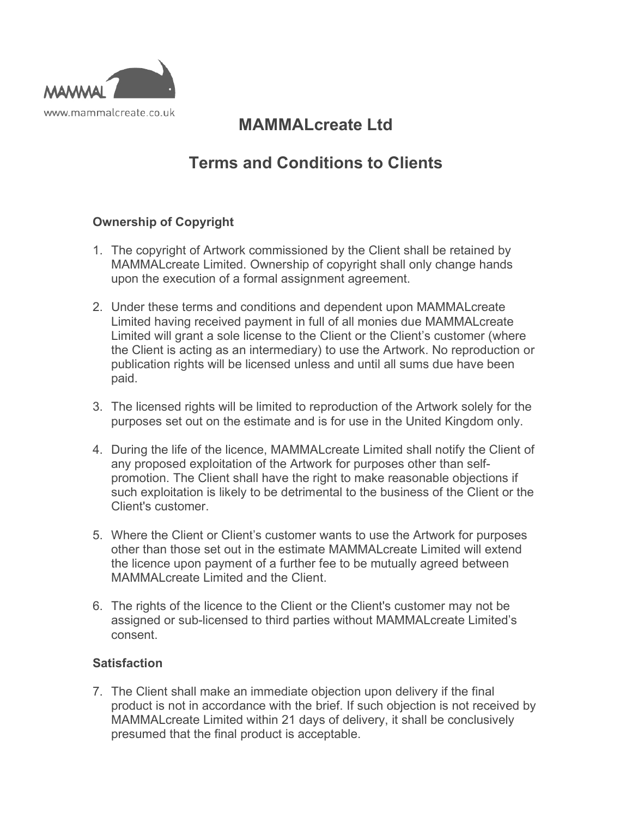

# **MAMMALcreate Ltd**

# **Terms and Conditions to Clients**

# **Ownership of Copyright**

- 1. The copyright of Artwork commissioned by the Client shall be retained by MAMMALcreate Limited. Ownership of copyright shall only change hands upon the execution of a formal assignment agreement.
- 2. Under these terms and conditions and dependent upon MAMMALcreate Limited having received payment in full of all monies due MAMMALcreate Limited will grant a sole license to the Client or the Client's customer (where the Client is acting as an intermediary) to use the Artwork. No reproduction or publication rights will be licensed unless and until all sums due have been paid.
- 3. The licensed rights will be limited to reproduction of the Artwork solely for the purposes set out on the estimate and is for use in the United Kingdom only.
- 4. During the life of the licence, MAMMALcreate Limited shall notify the Client of any proposed exploitation of the Artwork for purposes other than selfpromotion. The Client shall have the right to make reasonable objections if such exploitation is likely to be detrimental to the business of the Client or the Client's customer.
- 5. Where the Client or Client's customer wants to use the Artwork for purposes other than those set out in the estimate MAMMALcreate Limited will extend the licence upon payment of a further fee to be mutually agreed between MAMMAL create Limited and the Client.
- 6. The rights of the licence to the Client or the Client's customer may not be assigned or sub-licensed to third parties without MAMMALcreate Limited's consent.

## **Satisfaction**

7. The Client shall make an immediate objection upon delivery if the final product is not in accordance with the brief. If such objection is not received by MAMMALcreate Limited within 21 days of delivery, it shall be conclusively presumed that the final product is acceptable.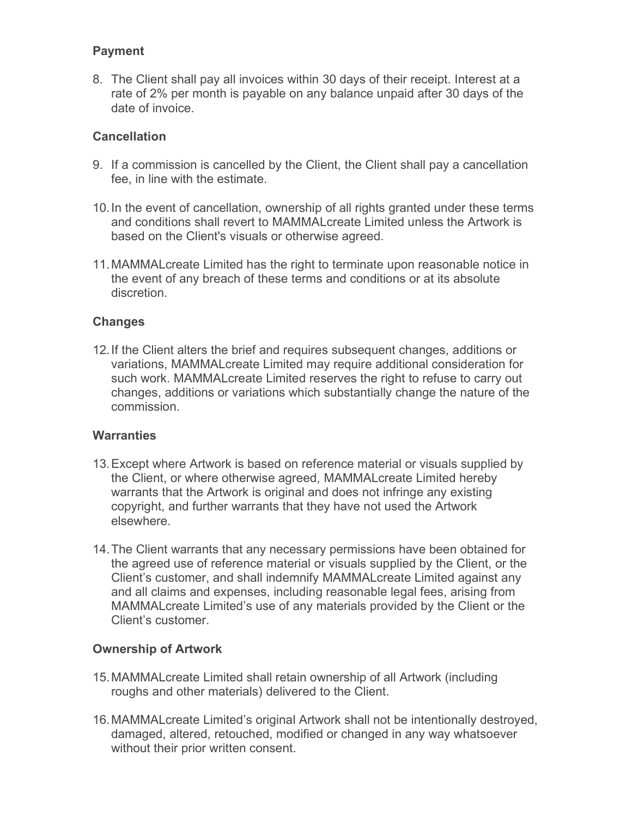## **Payment**

8. The Client shall pay all invoices within 30 days of their receipt. Interest at a rate of 2% per month is payable on any balance unpaid after 30 days of the date of invoice.

## **Cancellation**

- 9. If a commission is cancelled by the Client, the Client shall pay a cancellation fee, in line with the estimate.
- 10.In the event of cancellation, ownership of all rights granted under these terms and conditions shall revert to MAMMALcreate Limited unless the Artwork is based on the Client's visuals or otherwise agreed.
- 11.MAMMALcreate Limited has the right to terminate upon reasonable notice in the event of any breach of these terms and conditions or at its absolute discretion.

### **Changes**

12.If the Client alters the brief and requires subsequent changes, additions or variations, MAMMALcreate Limited may require additional consideration for such work. MAMMALcreate Limited reserves the right to refuse to carry out changes, additions or variations which substantially change the nature of the commission.

#### **Warranties**

- 13.Except where Artwork is based on reference material or visuals supplied by the Client, or where otherwise agreed, MAMMALcreate Limited hereby warrants that the Artwork is original and does not infringe any existing copyright, and further warrants that they have not used the Artwork elsewhere.
- 14.The Client warrants that any necessary permissions have been obtained for the agreed use of reference material or visuals supplied by the Client, or the Client's customer, and shall indemnify MAMMALcreate Limited against any and all claims and expenses, including reasonable legal fees, arising from MAMMALcreate Limited's use of any materials provided by the Client or the Client's customer.

#### **Ownership of Artwork**

- 15.MAMMALcreate Limited shall retain ownership of all Artwork (including roughs and other materials) delivered to the Client.
- 16.MAMMALcreate Limited's original Artwork shall not be intentionally destroyed, damaged, altered, retouched, modified or changed in any way whatsoever without their prior written consent.